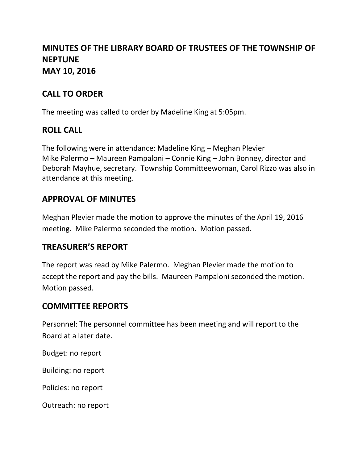# **MINUTES OF THE LIBRARY BOARD OF TRUSTEES OF THE TOWNSHIP OF NEPTUNE MAY 10, 2016**

## **CALL TO ORDER**

The meeting was called to order by Madeline King at 5:05pm.

### **ROLL CALL**

The following were in attendance: Madeline King – Meghan Plevier Mike Palermo – Maureen Pampaloni – Connie King – John Bonney, director and Deborah Mayhue, secretary. Township Committeewoman, Carol Rizzo was also in attendance at this meeting.

## **APPROVAL OF MINUTES**

Meghan Plevier made the motion to approve the minutes of the April 19, 2016 meeting. Mike Palermo seconded the motion. Motion passed.

#### **TREASURER'S REPORT**

The report was read by Mike Palermo. Meghan Plevier made the motion to accept the report and pay the bills. Maureen Pampaloni seconded the motion. Motion passed.

## **COMMITTEE REPORTS**

Personnel: The personnel committee has been meeting and will report to the Board at a later date.

Budget: no report

Building: no report

Policies: no report

Outreach: no report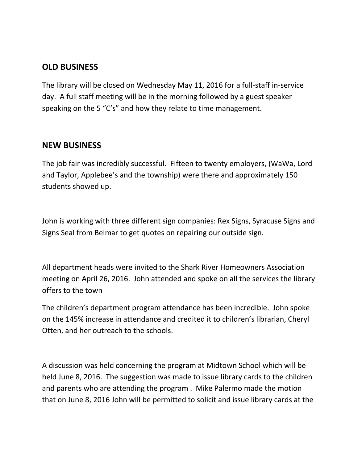### **OLD BUSINESS**

The library will be closed on Wednesday May 11, 2016 for a full-staff in-service day. A full staff meeting will be in the morning followed by a guest speaker speaking on the 5 "C's" and how they relate to time management.

#### **NEW BUSINESS**

The job fair was incredibly successful. Fifteen to twenty employers, (WaWa, Lord and Taylor, Applebee's and the township) were there and approximately 150 students showed up.

John is working with three different sign companies: Rex Signs, Syracuse Signs and Signs Seal from Belmar to get quotes on repairing our outside sign.

All department heads were invited to the Shark River Homeowners Association meeting on April 26, 2016. John attended and spoke on all the services the library offers to the town

The children's department program attendance has been incredible. John spoke on the 145% increase in attendance and credited it to children's librarian, Cheryl Otten, and her outreach to the schools.

A discussion was held concerning the program at Midtown School which will be held June 8, 2016. The suggestion was made to issue library cards to the children and parents who are attending the program . Mike Palermo made the motion that on June 8, 2016 John will be permitted to solicit and issue library cards at the